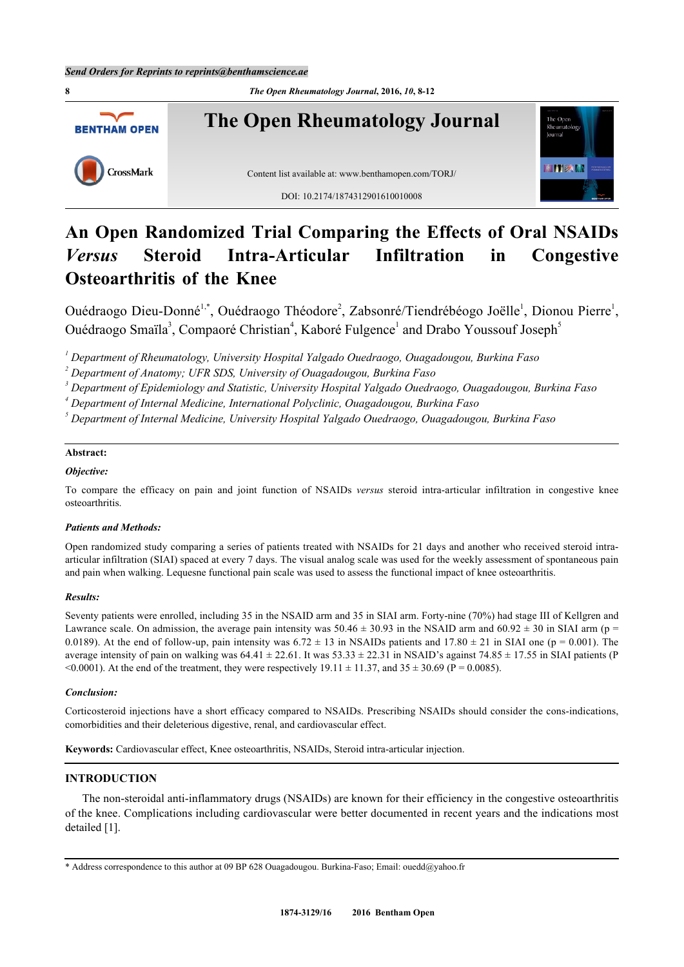**8** *The Open Rheumatology Journal***, 2016,** *10***, 8-12 The Open Rheumatology Journal** The Oper **BENTHAM OPEN HITERIAN** CrossMark Content list available at: [www.benthamopen.com/TORJ/](http://www.benthamopen.com/TORJ/) DOI: [10.2174/1874312901610010008](http://dx.doi.org/10.2174/1874312901610010008)

# **An Open Randomized Trial Comparing the Effects of Oral NSAIDs** *Versus* **Steroid Intra-Articular Infiltration in Congestive Osteoarthritis of the Knee**

Ouédraogo Dieu-Donné<sup>[1,](#page-0-0)[\\*](#page-0-1)</sup>, Ouédraogo Théodore<sup>[2](#page-0-2)</sup>, Zabsonré/Tiendrébéogo Joëlle<sup>[1](#page-0-0)</sup>, Dionou Pierre<sup>1</sup>, Ouédraogo Smaïla<sup>[3](#page-0-3)</sup>, Compaoré Christian<sup>[4](#page-0-4)</sup>, Kaboré Fulgence<sup>[1](#page-0-0)</sup> and Drabo Youssouf Joseph<sup>[5](#page-0-5)</sup>

<span id="page-0-0"></span>*1 Department of Rheumatology, University Hospital Yalgado Ouedraogo, Ouagadougou, Burkina Faso*

<span id="page-0-2"></span>*2 Department of Anatomy; UFR SDS, University of Ouagadougou, Burkina Faso*

<span id="page-0-3"></span>*3 Department of Epidemiology and Statistic, University Hospital Yalgado Ouedraogo, Ouagadougou, Burkina Faso*

<span id="page-0-4"></span>*4 Department of Internal Medicine, International Polyclinic, Ouagadougou, Burkina Faso*

<span id="page-0-5"></span>*5 Department of Internal Medicine, University Hospital Yalgado Ouedraogo, Ouagadougou, Burkina Faso*

## **Abstract:**

## *Objective:*

To compare the efficacy on pain and joint function of NSAIDs *versus* steroid intra-articular infiltration in congestive knee osteoarthritis.

## *Patients and Methods:*

Open randomized study comparing a series of patients treated with NSAIDs for 21 days and another who received steroid intraarticular infiltration (SIAI) spaced at every 7 days. The visual analog scale was used for the weekly assessment of spontaneous pain and pain when walking. Lequesne functional pain scale was used to assess the functional impact of knee osteoarthritis.

## *Results:*

Seventy patients were enrolled, including 35 in the NSAID arm and 35 in SIAI arm. Forty-nine (70%) had stage III of Kellgren and Lawrance scale. On admission, the average pain intensity was  $50.46 \pm 30.93$  in the NSAID arm and  $60.92 \pm 30$  in SIAI arm (p = 0.0189). At the end of follow-up, pain intensity was  $6.72 \pm 13$  in NSAIDs patients and  $17.80 \pm 21$  in SIAI one (p = 0.001). The average intensity of pain on walking was  $64.41 \pm 22.61$ . It was  $53.33 \pm 22.31$  in NSAID's against  $74.85 \pm 17.55$  in SIAI patients (P) <0.0001). At the end of the treatment, they were respectively  $19.11 \pm 11.37$ , and  $35 \pm 30.69$  (P = 0.0085).

## *Conclusion:*

Corticosteroid injections have a short efficacy compared to NSAIDs. Prescribing NSAIDs should consider the cons-indications, comorbidities and their deleterious digestive, renal, and cardiovascular effect.

**Keywords:** Cardiovascular effect, Knee osteoarthritis, NSAIDs, Steroid intra-articular injection.

## **INTRODUCTION**

The non-steroidal anti-inflammatory drugs (NSAIDs) are known for their efficiency in the congestive osteoarthritis of the knee. Complications including cardiovascular were better documented in recent years and the indications most detailed [\[1](#page-4-0)].

<span id="page-0-1"></span><sup>\*</sup> Address correspondence to this author at 09 BP 628 Ouagadougou. Burkina-Faso; Email: [ouedd@yahoo.fr](mailto:ouedd@yahoo.fr)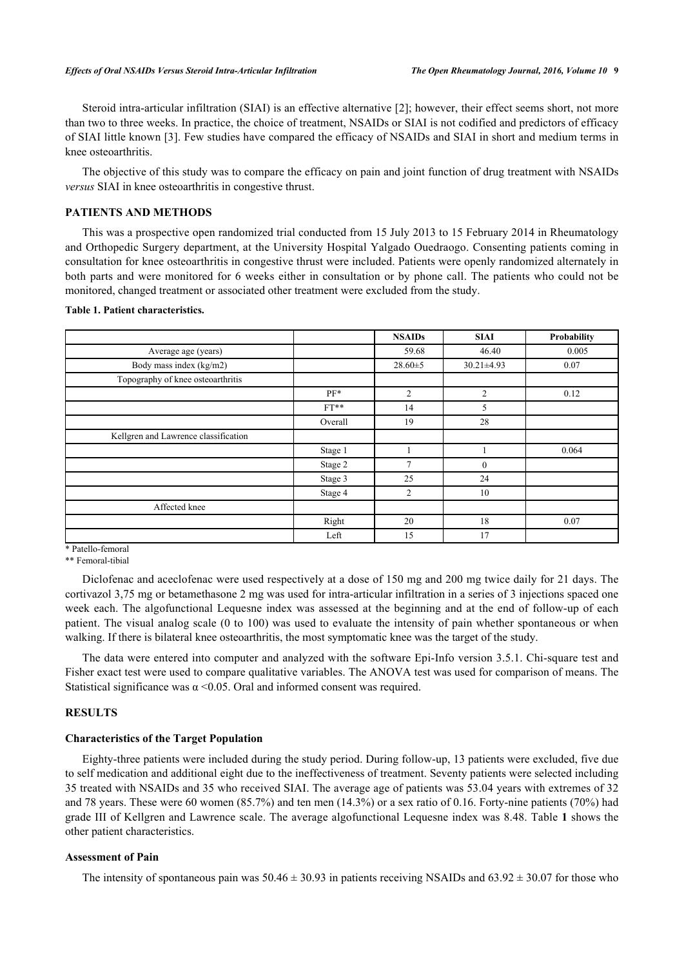Steroid intra-articular infiltration (SIAI) is an effective alternative [\[2](#page-4-1)]; however, their effect seems short, not more than two to three weeks. In practice, the choice of treatment, NSAIDs or SIAI is not codified and predictors of efficacy of SIAI little known [\[3](#page-4-2)]. Few studies have compared the efficacy of NSAIDs and SIAI in short and medium terms in knee osteoarthritis.

The objective of this study was to compare the efficacy on pain and joint function of drug treatment with NSAIDs *versus* SIAI in knee osteoarthritis in congestive thrust.

#### **PATIENTS AND METHODS**

This was a prospective open randomized trial conducted from 15 July 2013 to 15 February 2014 in Rheumatology and Orthopedic Surgery department, at the University Hospital Yalgado Ouedraogo. Consenting patients coming in consultation for knee osteoarthritis in congestive thrust were included. Patients were openly randomized alternately in both parts and were monitored for 6 weeks either in consultation or by phone call. The patients who could not be monitored, changed treatment or associated other treatment were excluded from the study.

#### <span id="page-1-0"></span>**Table 1. Patient characteristics.**

|                                      |         | <b>NSAIDs</b>  | <b>SIAI</b>      | Probability |
|--------------------------------------|---------|----------------|------------------|-------------|
| Average age (years)                  |         | 59.68          | 46.40            | 0.005       |
| Body mass index (kg/m2)              |         | $28.60 \pm 5$  | $30.21 \pm 4.93$ | 0.07        |
| Topography of knee osteoarthritis    |         |                |                  |             |
|                                      | $PF*$   | 2              | 2                | 0.12        |
|                                      | $FT**$  | 14             | 5                |             |
|                                      | Overall | 19             | 28               |             |
| Kellgren and Lawrence classification |         |                |                  |             |
|                                      | Stage 1 |                |                  | 0.064       |
|                                      | Stage 2 | 7              | $\mathbf{0}$     |             |
|                                      | Stage 3 | 25             | 24               |             |
|                                      | Stage 4 | $\overline{2}$ | 10               |             |
| Affected knee                        |         |                |                  |             |
|                                      | Right   | 20             | 18               | 0.07        |
|                                      | Left    | 15             | 17               |             |

\* Patello-femoral

\*\* Femoral-tibial

Diclofenac and aceclofenac were used respectively at a dose of 150 mg and 200 mg twice daily for 21 days. The cortivazol 3,75 mg or betamethasone 2 mg was used for intra-articular infiltration in a series of 3 injections spaced one week each. The algofunctional Lequesne index was assessed at the beginning and at the end of follow-up of each patient. The visual analog scale (0 to 100) was used to evaluate the intensity of pain whether spontaneous or when walking. If there is bilateral knee osteoarthritis, the most symptomatic knee was the target of the study.

The data were entered into computer and analyzed with the software Epi-Info version 3.5.1. Chi-square test and Fisher exact test were used to compare qualitative variables. The ANOVA test was used for comparison of means. The Statistical significance was  $\alpha$  <0.05. Oral and informed consent was required.

# **RESULTS**

#### **Characteristics of the Target Population**

Eighty-three patients were included during the study period. During follow-up, 13 patients were excluded, five due to self medication and additional eight due to the ineffectiveness of treatment. Seventy patients were selected including 35 treated with NSAIDs and 35 who received SIAI. The average age of patients was 53.04 years with extremes of 32 and 78 years. These were 60 women (85.7%) and ten men (14.3%) or a sex ratio of 0.16. Forty-nine patients (70%) had grade III of Kellgren and Lawrence scale. The average algofunctional Lequesne index was 8.48. Table **[1](#page-1-0)** shows the other patient characteristics.

## **Assessment of Pain**

The intensity of spontaneous pain was  $50.46 \pm 30.93$  in patients receiving NSAIDs and  $63.92 \pm 30.07$  for those who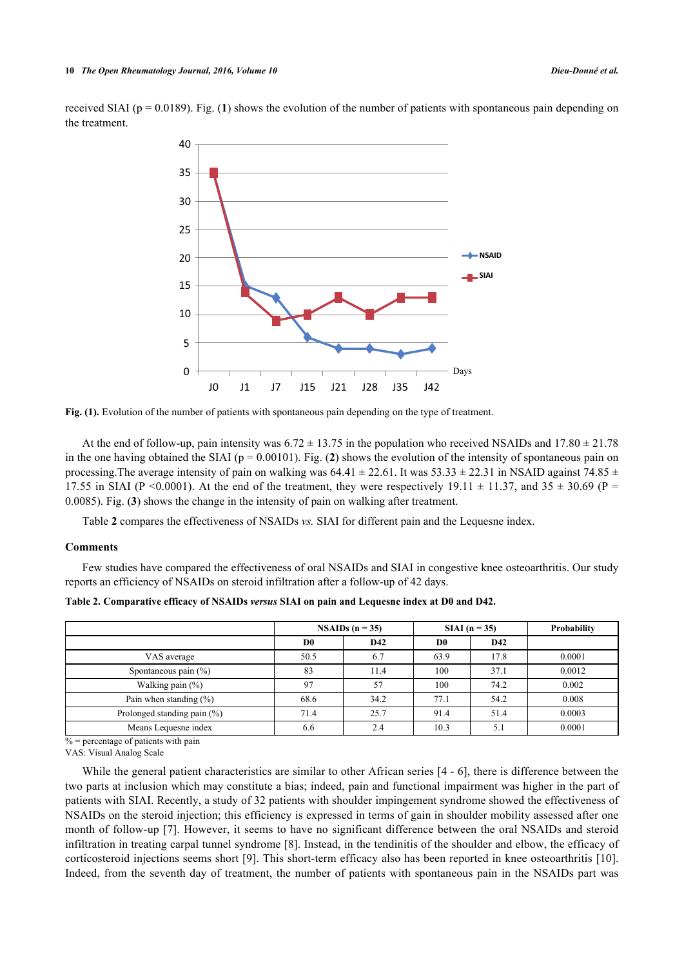<span id="page-2-0"></span>received SIAI ( $p = 0.0189$  $p = 0.0189$  $p = 0.0189$ ). Fig. (1) shows the evolution of the number of patients with spontaneous pain depending on the treatment.



**Fig. (1).** Evolution of the number of patients with spontaneous pain depending on the type of treatment.

At the end of follow-up, pain intensity was  $6.72 \pm 13.75$  in the population who received NSAIDs and 17.80  $\pm$  21.78 in the one having obtained the SIAI ( $p = 0.00101$ ). Fig. ([2](#page-3-0)) shows the evolution of the intensity of spontaneous pain on processing. The average intensity of pain on walking was  $64.41 \pm 22.61$ . It was  $53.33 \pm 22.31$  in NSAID against 74.85  $\pm$ 17.55 in SIAI (P <0.0001). At the end of the treatment, they were respectively 19.11  $\pm$  11.37, and 35  $\pm$  30.69 (P = 0.0085). Fig. (**[3](#page-3-1)**) shows the change in the intensity of pain on walking after treatment.

Table **[2](#page-2-1)** compares the effectiveness of NSAIDs *vs.* SIAI for different pain and the Lequesne index.

#### **Comments**

Few studies have compared the effectiveness of oral NSAIDs and SIAI in congestive knee osteoarthritis. Our study reports an efficiency of NSAIDs on steroid infiltration after a follow-up of 42 days.

|                                | NSAIDs $(n = 35)$ |      | $SIAI(n = 35)$ |      | Probability |
|--------------------------------|-------------------|------|----------------|------|-------------|
|                                | D <sub>0</sub>    | D42  | D <sub>0</sub> | D42  |             |
| VAS average                    | 50.5              | 6.7  | 63.9           | 17.8 | 0.0001      |
| Spontaneous pain $(\% )$       | 83                | 11.4 | 100            | 37.1 | 0.0012      |
| Walking pain $(\%)$            | 97                | 57   | 100            | 74.2 | 0.002       |
| Pain when standing $(\% )$     | 68.6              | 34.2 | 77.1           | 54.2 | 0.008       |
| Prolonged standing pain $(\%)$ | 71.4              | 25.7 | 91.4           | 51.4 | 0.0003      |
| Means Lequesne index           | 6.6               | 2.4  | 10.3           | 5.   | 0.0001      |

<span id="page-2-1"></span>**Table 2. Comparative efficacy of NSAIDs** *versus* **SIAI on pain and Lequesne index at D0 and D42.**

 $% =$  percentage of patients with pain

VAS: Visual Analog Scale

While the general patient characteristics are similar to other African series [\[4](#page-4-3) - [6](#page-4-4)], there is difference between the two parts at inclusion which may constitute a bias; indeed, pain and functional impairment was higher in the part of patients with SIAI. Recently, a study of 32 patients with shoulder impingement syndrome showed the effectiveness of NSAIDs on the steroid injection; this efficiency is expressed in terms of gain in shoulder mobility assessed after one month of follow-up [[7\]](#page-4-5). However, it seems to have no significant difference between the oral NSAIDs and steroid infiltration in treating carpal tunnel syndrome [[8\]](#page-4-6). Instead, in the tendinitis of the shoulder and elbow, the efficacy of corticosteroid injections seems short [[9\]](#page-4-7). This short-term efficacy also has been reported in knee osteoarthritis [\[10\]](#page-4-8). Indeed, from the seventh day of treatment, the number of patients with spontaneous pain in the NSAIDs part was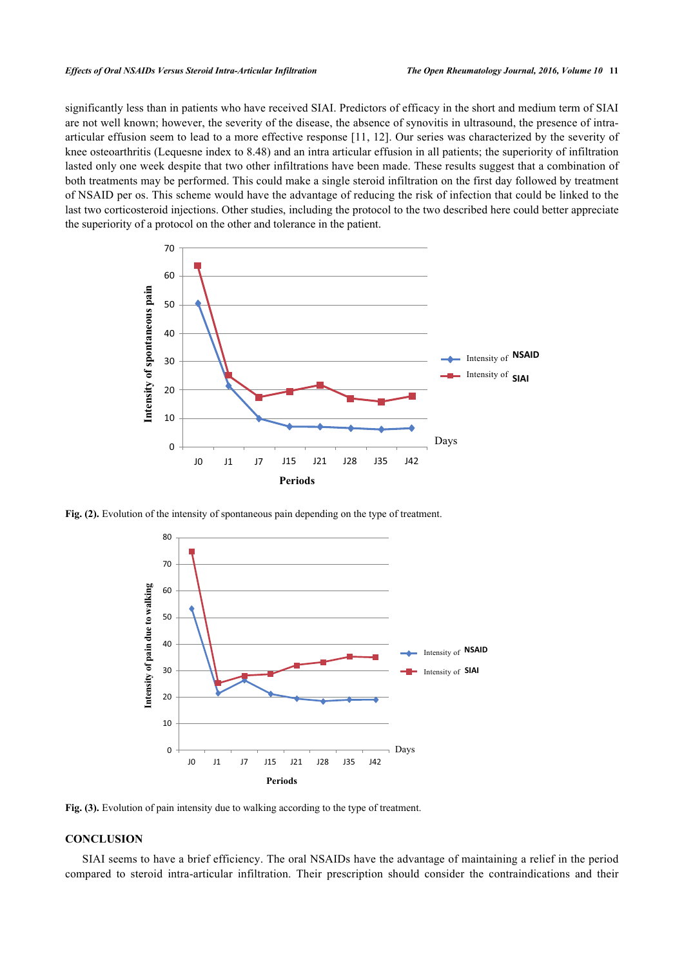significantly less than in patients who have received SIAI. Predictors of efficacy in the short and medium term of SIAI are not well known; however, the severity of the disease, the absence of synovitis in ultrasound, the presence of intraarticular effusion seem to lead to a more effective response [\[11](#page-4-9), [12](#page-4-10)]. Our series was characterized by the severity of knee osteoarthritis (Lequesne index to 8.48) and an intra articular effusion in all patients; the superiority of infiltration lasted only one week despite that two other infiltrations have been made. These results suggest that a combination of both treatments may be performed. This could make a single steroid infiltration on the first day followed by treatment of NSAID per os. This scheme would have the advantage of reducing the risk of infection that could be linked to the last two corticosteroid injections. Other studies, including the protocol to the two described here could better appreciate the superiority of a protocol on the other and tolerance in the patient.

<span id="page-3-0"></span>

<span id="page-3-1"></span>Fig. (2). Evolution of the intensity of spontaneous pain depending on the type of treatment.



Fig. (3). Evolution of pain intensity due to walking according to the type of treatment.

# **CONCLUSION**

SIAI seems to have a brief efficiency. The oral NSAIDs have the advantage of maintaining a relief in the period compared to steroid intra-articular infiltration. Their prescription should consider the contraindications and their